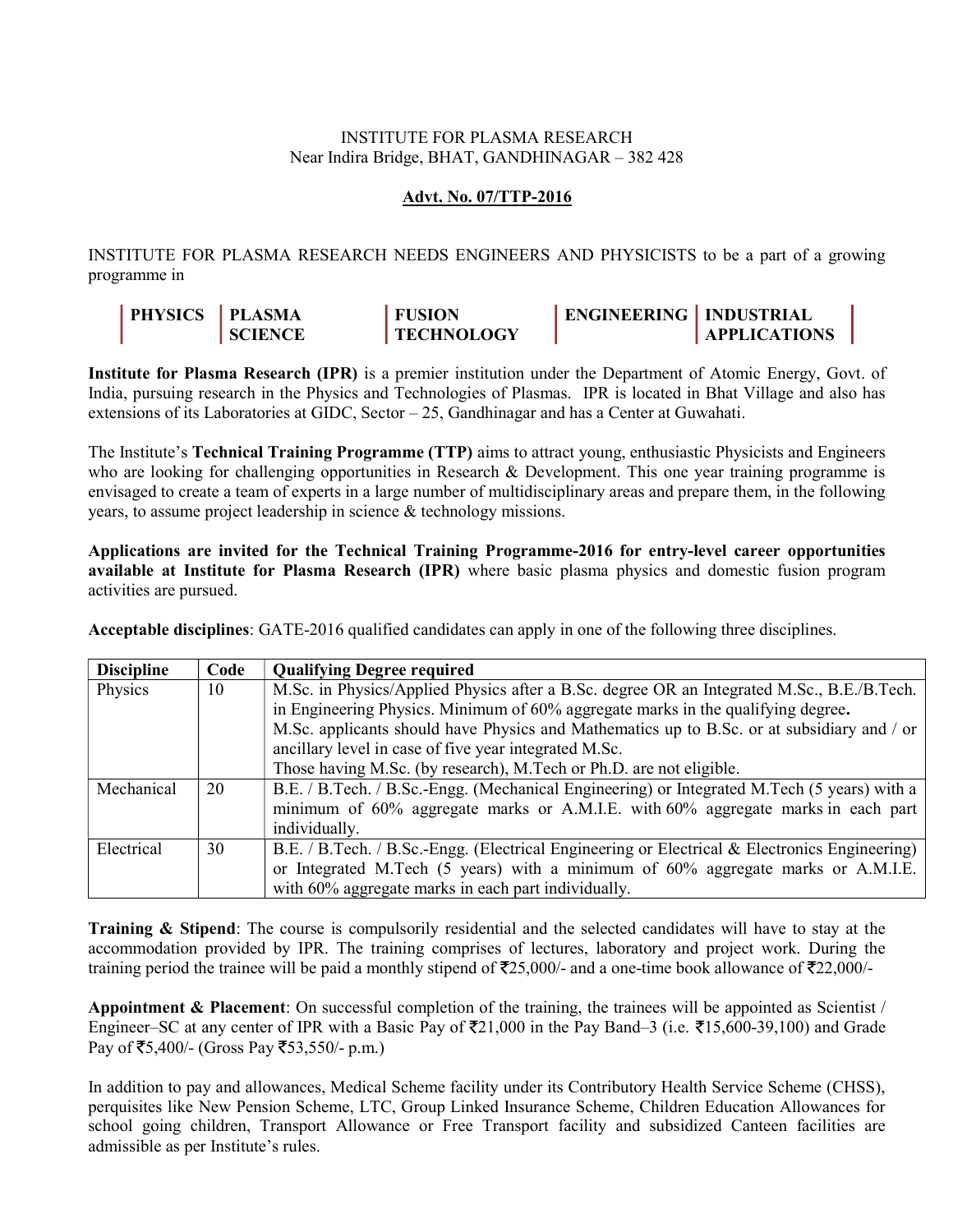## INSTITUTE FOR PLASMA RESEARCH Near Indira Bridge, BHAT, GANDHINAGAR – 382 428

## Advt. No. 07/TTP-2016

INSTITUTE FOR PLASMA RESEARCH NEEDS ENGINEERS AND PHYSICISTS to be a part of a growing programme in

| <b>PHYSICS</b> | <b>PLASMA</b>  | <b>FUSION</b>     | <b>ENGINEERING   INDUSTRIAL</b> |                     |
|----------------|----------------|-------------------|---------------------------------|---------------------|
|                | <b>SCIENCE</b> | <b>TECHNOLOGY</b> |                                 | <b>APPLICATIONS</b> |

Institute for Plasma Research (IPR) is a premier institution under the Department of Atomic Energy, Govt. of India, pursuing research in the Physics and Technologies of Plasmas. IPR is located in Bhat Village and also has extensions of its Laboratories at GIDC, Sector – 25, Gandhinagar and has a Center at Guwahati.

The Institute's Technical Training Programme (TTP) aims to attract young, enthusiastic Physicists and Engineers who are looking for challenging opportunities in Research & Development. This one year training programme is envisaged to create a team of experts in a large number of multidisciplinary areas and prepare them, in the following years, to assume project leadership in science & technology missions.

Applications are invited for the Technical Training Programme-2016 for entry-level career opportunities available at Institute for Plasma Research (IPR) where basic plasma physics and domestic fusion program activities are pursued.

Acceptable disciplines: GATE-2016 qualified candidates can apply in one of the following three disciplines.

| <b>Discipline</b> | Code | <b>Qualifying Degree required</b>                                                             |  |
|-------------------|------|-----------------------------------------------------------------------------------------------|--|
| Physics           | 10   | M.Sc. in Physics/Applied Physics after a B.Sc. degree OR an Integrated M.Sc., B.E./B.Tech.    |  |
|                   |      | in Engineering Physics. Minimum of 60% aggregate marks in the qualifying degree.              |  |
|                   |      | M.Sc. applicants should have Physics and Mathematics up to B.Sc. or at subsidiary and / or    |  |
|                   |      | ancillary level in case of five year integrated M.Sc.                                         |  |
|                   |      | Those having M.Sc. (by research), M.Tech or Ph.D. are not eligible.                           |  |
| Mechanical        | 20   | B.E. / B.Tech. / B.Sc.-Engg. (Mechanical Engineering) or Integrated M.Tech (5 years) with a   |  |
|                   |      | minimum of 60% aggregate marks or A.M.I.E. with 60% aggregate marks in each part              |  |
|                   |      | individually.                                                                                 |  |
| Electrical        | 30   | B.E. / B.Tech. / B.Sc.-Engg. (Electrical Engineering or Electrical & Electronics Engineering) |  |
|                   |      | or Integrated M.Tech (5 years) with a minimum of 60% aggregate marks or A.M.I.E.              |  |
|                   |      | with 60% aggregate marks in each part individually.                                           |  |

**Training & Stipend:** The course is compulsorily residential and the selected candidates will have to stay at the accommodation provided by IPR. The training comprises of lectures, laboratory and project work. During the training period the trainee will be paid a monthly stipend of  $\overline{2}25,000/4$  and a one-time book allowance of  $\overline{2}22,000/4$ 

Appointment  $\&$  Placement: On successful completion of the training, the trainees will be appointed as Scientist / Engineer–SC at any center of IPR with a Basic Pay of  $\overline{5}21,000$  in the Pay Band–3 (i.e.  $\overline{5}15,600-39,100$ ) and Grade Pay of ₹5,400/- (Gross Pay ₹53,550/- p.m.)

In addition to pay and allowances, Medical Scheme facility under its Contributory Health Service Scheme (CHSS), perquisites like New Pension Scheme, LTC, Group Linked Insurance Scheme, Children Education Allowances for school going children, Transport Allowance or Free Transport facility and subsidized Canteen facilities are admissible as per Institute's rules.